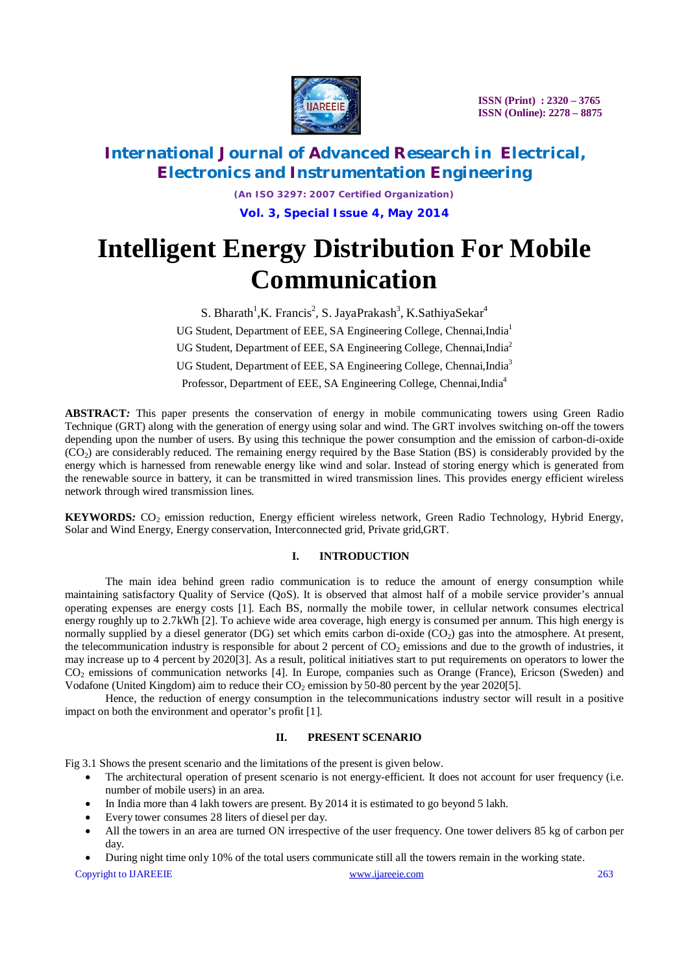

# **International Journal of Advanced Research in Electrical, Electronics and Instrumentation Engineering**

*(An ISO 3297: 2007 Certified Organization)* **Vol. 3, Special Issue 4, May 2014**

# **Intelligent Energy Distribution For Mobile Communication**

S. Bharath<sup>1</sup>, K. Francis<sup>2</sup>, S. Jaya Prakash<sup>3</sup>, K. Sathiya Sekar<sup>4</sup> UG Student, Department of EEE, SA Engineering College, Chennai, India<sup>1</sup> UG Student, Department of EEE, SA Engineering College, Chennai, India<sup>2</sup> UG Student, Department of EEE, SA Engineering College, Chennai, India<sup>3</sup> Professor, Department of EEE, SA Engineering College, Chennai, India<sup>4</sup>

**ABSTRACT***:* This paper presents the conservation of energy in mobile communicating towers using Green Radio Technique (GRT) along with the generation of energy using solar and wind. The GRT involves switching on-off the towers depending upon the number of users. By using this technique the power consumption and the emission of carbon-di-oxide  $(CO<sub>2</sub>)$  are considerably reduced. The remaining energy required by the Base Station (BS) is considerably provided by the energy which is harnessed from renewable energy like wind and solar. Instead of storing energy which is generated from the renewable source in battery, it can be transmitted in wired transmission lines. This provides energy efficient wireless network through wired transmission lines.

**KEYWORDS***:* CO<sub>2</sub> emission reduction, Energy efficient wireless network, Green Radio Technology, Hybrid Energy, Solar and Wind Energy, Energy conservation, Interconnected grid, Private grid,GRT.

### **I. INTRODUCTION**

The main idea behind green radio communication is to reduce the amount of energy consumption while maintaining satisfactory Quality of Service (QoS). It is observed that almost half of a mobile service provider's annual operating expenses are energy costs [1]. Each BS, normally the mobile tower, in cellular network consumes electrical energy roughly up to 2.7kWh [2]. To achieve wide area coverage, high energy is consumed per annum. This high energy is normally supplied by a diesel generator (DG) set which emits carbon di-oxide  $(CO<sub>2</sub>)$  gas into the atmosphere. At present, the telecommunication industry is responsible for about 2 percent of  $CO<sub>2</sub>$  emissions and due to the growth of industries, it may increase up to 4 percent by 2020[3]. As a result, political initiatives start to put requirements on operators to lower the CO<sup>2</sup> emissions of communication networks [4]. In Europe, companies such as Orange (France), Ericson (Sweden) and Vodafone (United Kingdom) aim to reduce their  $CO<sub>2</sub>$  emission by 50-80 percent by the year 2020[5].

Hence, the reduction of energy consumption in the telecommunications industry sector will result in a positive impact on both the environment and operator's profit [1].

### **II. PRESENT SCENARIO**

Fig 3.1 Shows the present scenario and the limitations of the present is given below.

- The architectural operation of present scenario is not energy-efficient. It does not account for user frequency (i.e. number of mobile users) in an area.
- In India more than 4 lakh towers are present. By 2014 it is estimated to go beyond 5 lakh.
- Every tower consumes 28 liters of diesel per day.
- All the towers in an area are turned ON irrespective of the user frequency. One tower delivers 85 kg of carbon per day.
- During night time only 10% of the total users communicate still all the towers remain in the working state.

Copyright to IJAREEIE www.ijareeie.com 263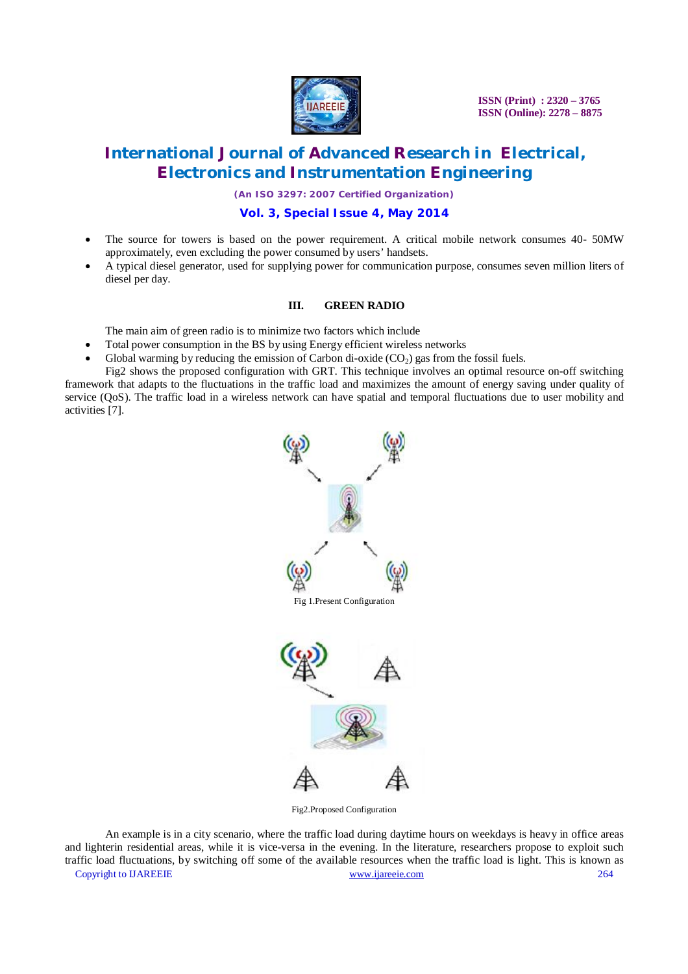

# **International Journal of Advanced Research in Electrical, Electronics and Instrumentation Engineering**

*(An ISO 3297: 2007 Certified Organization)*

# **Vol. 3, Special Issue 4, May 2014**

- The source for towers is based on the power requirement. A critical mobile network consumes 40- 50MW approximately, even excluding the power consumed by users' handsets.
- A typical diesel generator, used for supplying power for communication purpose, consumes seven million liters of diesel per day.

### **III. GREEN RADIO**

The main aim of green radio is to minimize two factors which include

- Total power consumption in the BS by using Energy efficient wireless networks
- Global warming by reducing the emission of Carbon di-oxide  $(CO<sub>2</sub>)$  gas from the fossil fuels.

Fig2 shows the proposed configuration with GRT. This technique involves an optimal resource on-off switching framework that adapts to the fluctuations in the traffic load and maximizes the amount of energy saving under quality of service (QoS). The traffic load in a wireless network can have spatial and temporal fluctuations due to user mobility and activities [7].



Fig2.Proposed Configuration

Copyright to IJAREEIE www.ijareeie.com 264 An example is in a city scenario, where the traffic load during daytime hours on weekdays is heavy in office areas and lighterin residential areas, while it is vice-versa in the evening. In the literature, researchers propose to exploit such traffic load fluctuations, by switching off some of the available resources when the traffic load is light. This is known as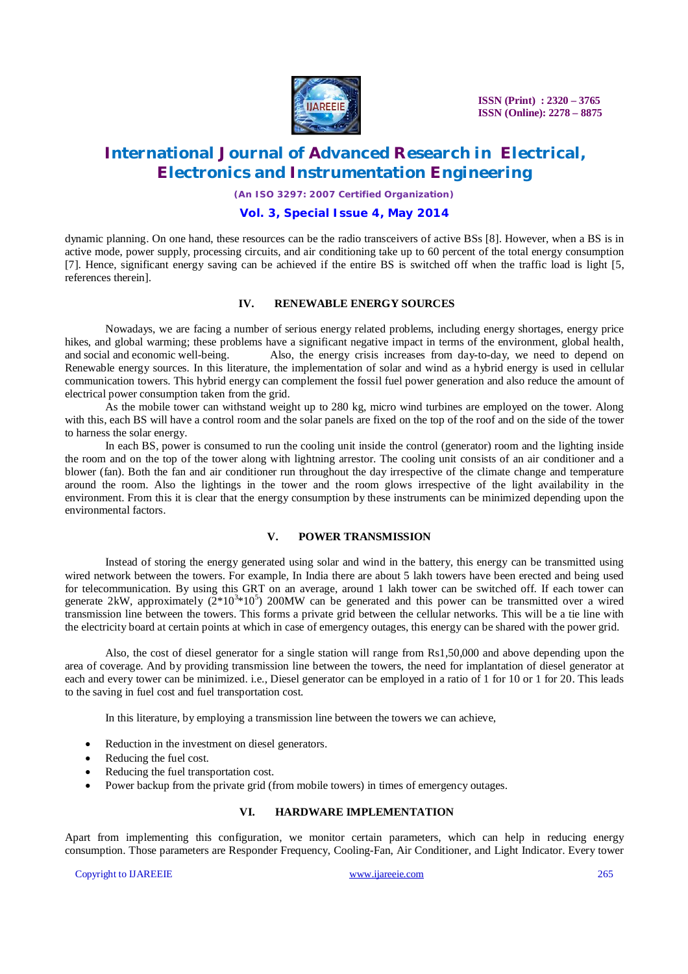

# **International Journal of Advanced Research in Electrical, Electronics and Instrumentation Engineering**

*(An ISO 3297: 2007 Certified Organization)*

# **Vol. 3, Special Issue 4, May 2014**

dynamic planning. On one hand, these resources can be the radio transceivers of active BSs [8]. However, when a BS is in active mode, power supply, processing circuits, and air conditioning take up to 60 percent of the total energy consumption [7]. Hence, significant energy saving can be achieved if the entire BS is switched off when the traffic load is light [5, references therein].

#### **IV. RENEWABLE ENERGY SOURCES**

Nowadays, we are facing a number of serious energy related problems, including energy shortages, energy price hikes, and global warming; these problems have a significant negative impact in terms of the environment, global health, and social and economic well-being. Also, the energy crisis increases from day-to-day, we need to dep Also, the energy crisis increases from day-to-day, we need to depend on Renewable energy sources. In this literature, the implementation of solar and wind as a hybrid energy is used in cellular communication towers. This hybrid energy can complement the fossil fuel power generation and also reduce the amount of electrical power consumption taken from the grid.

As the mobile tower can withstand weight up to 280 kg, micro wind turbines are employed on the tower. Along with this, each BS will have a control room and the solar panels are fixed on the top of the roof and on the side of the tower to harness the solar energy.

In each BS, power is consumed to run the cooling unit inside the control (generator) room and the lighting inside the room and on the top of the tower along with lightning arrestor. The cooling unit consists of an air conditioner and a blower (fan). Both the fan and air conditioner run throughout the day irrespective of the climate change and temperature around the room. Also the lightings in the tower and the room glows irrespective of the light availability in the environment. From this it is clear that the energy consumption by these instruments can be minimized depending upon the environmental factors.

### **V. POWER TRANSMISSION**

Instead of storing the energy generated using solar and wind in the battery, this energy can be transmitted using wired network between the towers. For example, In India there are about 5 lakh towers have been erected and being used for telecommunication. By using this GRT on an average, around 1 lakh tower can be switched off. If each tower can generate 2kW, approximately  $(2*10^3*10^5)$  200MW can be generated and this power can be transmitted over a wired transmission line between the towers. This forms a private grid between the cellular networks. This will be a tie line with the electricity board at certain points at which in case of emergency outages, this energy can be shared with the power grid.

Also, the cost of diesel generator for a single station will range from Rs1,50,000 and above depending upon the area of coverage. And by providing transmission line between the towers, the need for implantation of diesel generator at each and every tower can be minimized. i.e., Diesel generator can be employed in a ratio of 1 for 10 or 1 for 20. This leads to the saving in fuel cost and fuel transportation cost.

In this literature, by employing a transmission line between the towers we can achieve,

- Reduction in the investment on diesel generators.
- Reducing the fuel cost.
- Reducing the fuel transportation cost.
- Power backup from the private grid (from mobile towers) in times of emergency outages.

### **VI. HARDWARE IMPLEMENTATION**

Apart from implementing this configuration, we monitor certain parameters, which can help in reducing energy consumption. Those parameters are Responder Frequency, Cooling-Fan, Air Conditioner, and Light Indicator. Every tower

Copyright to IJAREEIE www.ijareeie.com 265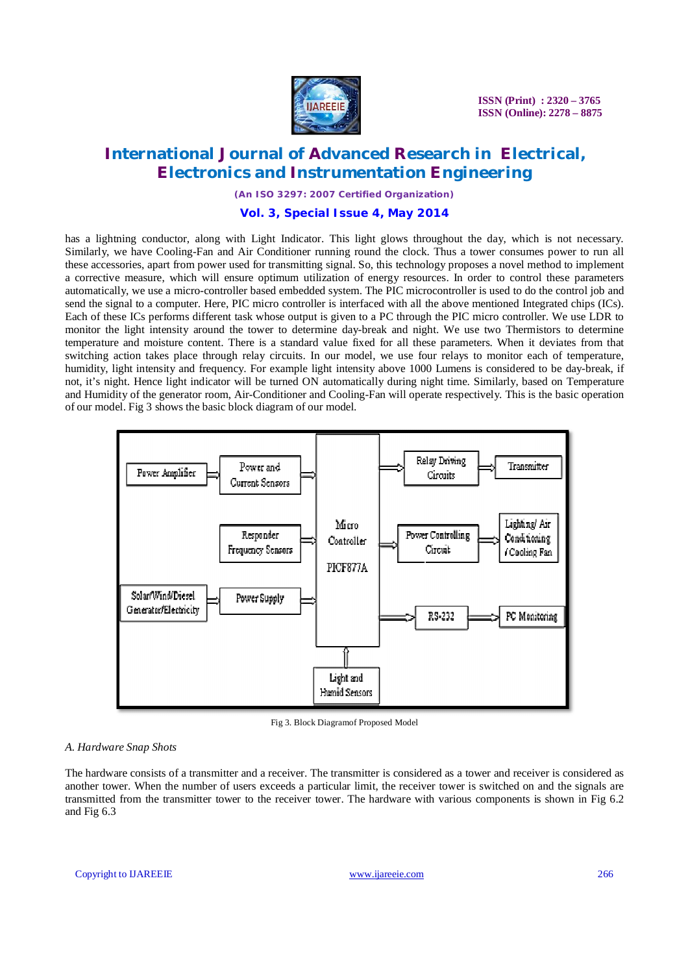

# **International Journal of Advanced Research in Electrical, Electronics and Instrumentation Engineering**

*(An ISO 3297: 2007 Certified Organization)*

### **Vol. 3, Special Issue 4, May 2014**

has a lightning conductor, along with Light Indicator. This light glows throughout the day, which is not necessary. Similarly, we have Cooling-Fan and Air Conditioner running round the clock. Thus a tower consumes power to run all these accessories, apart from power used for transmitting signal. So, this technology proposes a novel method to implement a corrective measure, which will ensure optimum utilization of energy resources. In order to control these parameters automatically, we use a micro-controller based embedded system. The PIC microcontroller is used to do the control job and send the signal to a computer. Here, PIC micro controller is interfaced with all the above mentioned Integrated chips (ICs). Each of these ICs performs different task whose output is given to a PC through the PIC micro controller. We use LDR to monitor the light intensity around the tower to determine day-break and night. We use two Thermistors to determine temperature and moisture content. There is a standard value fixed for all these parameters. When it deviates from that switching action takes place through relay circuits. In our model, we use four relays to monitor each of temperature, humidity, light intensity and frequency. For example light intensity above 1000 Lumens is considered to be day-break, if not, it's night. Hence light indicator will be turned ON automatically during night time. Similarly, based on Temperature and Humidity of the generator room, Air-Conditioner and Cooling-Fan will operate respectively. This is the basic operation of our model. Fig 3 shows the basic block diagram of our model.



Fig 3. Block Diagramof Proposed Model

#### *A. Hardware Snap Shots*

The hardware consists of a transmitter and a receiver. The transmitter is considered as a tower and receiver is considered as another tower. When the number of users exceeds a particular limit, the receiver tower is switched on and the signals are transmitted from the transmitter tower to the receiver tower. The hardware with various components is shown in Fig 6.2 and Fig 6.3

Copyright to UAREEIE www.ijareeie.com 266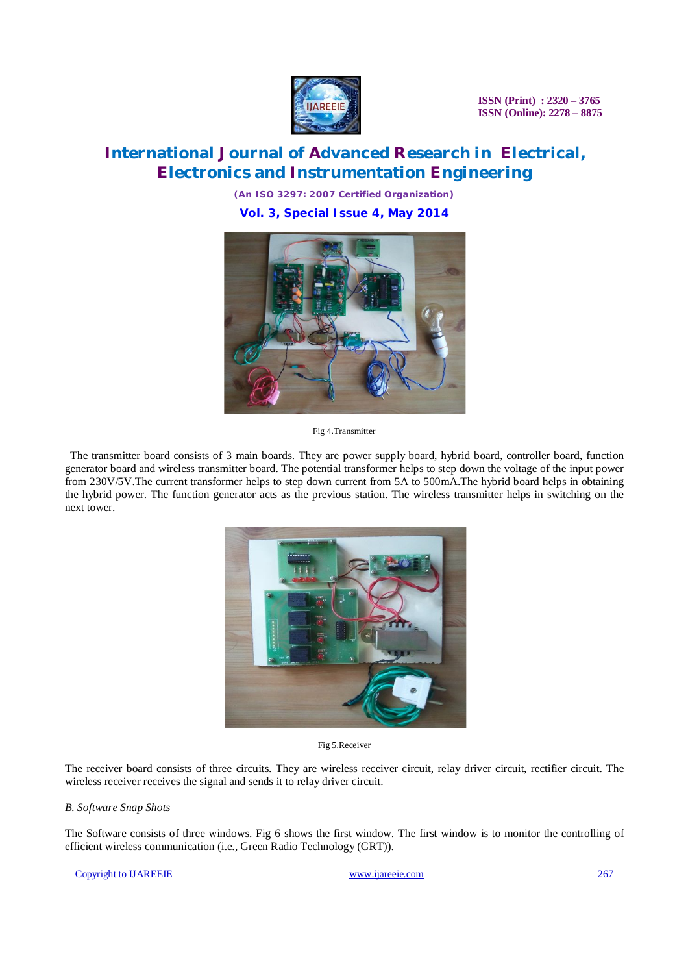

# **International Journal of Advanced Research in Electrical, Electronics and Instrumentation Engineering**

*(An ISO 3297: 2007 Certified Organization)* **Vol. 3, Special Issue 4, May 2014**



Fig 4.Transmitter

 The transmitter board consists of 3 main boards. They are power supply board, hybrid board, controller board, function generator board and wireless transmitter board. The potential transformer helps to step down the voltage of the input power from 230V/5V.The current transformer helps to step down current from 5A to 500mA.The hybrid board helps in obtaining the hybrid power. The function generator acts as the previous station. The wireless transmitter helps in switching on the next tower.



Fig 5.Receiver

The receiver board consists of three circuits. They are wireless receiver circuit, relay driver circuit, rectifier circuit. The wireless receiver receives the signal and sends it to relay driver circuit.

#### *B. Software Snap Shots*

The Software consists of three windows. Fig 6 shows the first window. The first window is to monitor the controlling of efficient wireless communication (i.e., Green Radio Technology (GRT)).

#### Copyright to UAREEIE www.ijareeie.com 267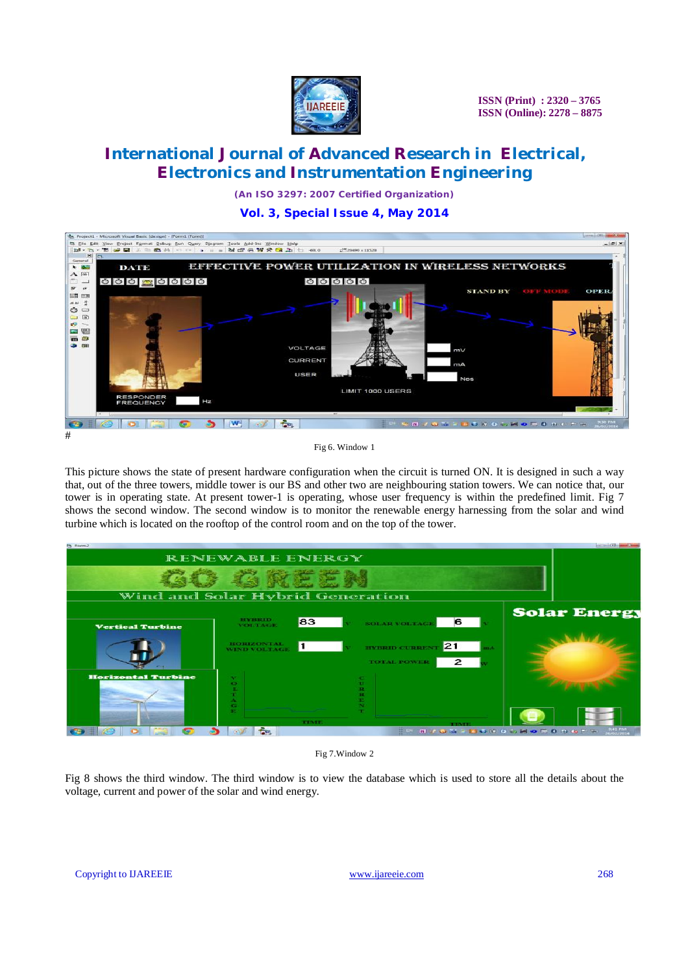

# **International Journal of Advanced Research in Electrical, Electronics and Instrumentation Engineering**

*(An ISO 3297: 2007 Certified Organization)*

**Vol. 3, Special Issue 4, May 2014**





This picture shows the state of present hardware configuration when the circuit is turned ON. It is designed in such a way that, out of the three towers, middle tower is our BS and other two are neighbouring station towers. We can notice that, our tower is in operating state. At present tower-1 is operating, whose user frequency is within the predefined limit. Fig 7 shows the second window. The second window is to monitor the renewable energy harnessing from the solar and wind turbine which is located on the rooftop of the control room and on the top of the tower.





Fig 8 shows the third window. The third window is to view the database which is used to store all the details about the voltage, current and power of the solar and wind energy.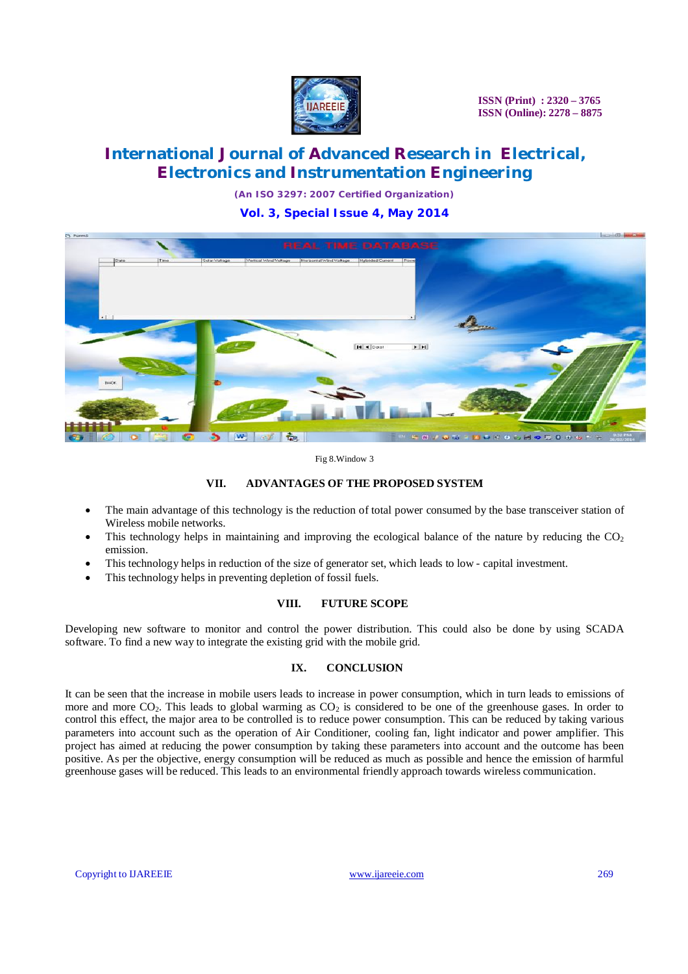

# **International Journal of Advanced Research in Electrical, Electronics and Instrumentation Engineering**

*(An ISO 3297: 2007 Certified Organization)*

**Vol. 3, Special Issue 4, May 2014**



Fig 8.Window 3

### **VII. ADVANTAGES OF THE PROPOSED SYSTEM**

- The main advantage of this technology is the reduction of total power consumed by the base transceiver station of Wireless mobile networks.
- This technology helps in maintaining and improving the ecological balance of the nature by reducing the  $CO<sub>2</sub>$ emission.
- This technology helps in reduction of the size of generator set, which leads to low capital investment.
- This technology helps in preventing depletion of fossil fuels.

#### **VIII. FUTURE SCOPE**

Developing new software to monitor and control the power distribution. This could also be done by using SCADA software. To find a new way to integrate the existing grid with the mobile grid.

### **IX. CONCLUSION**

It can be seen that the increase in mobile users leads to increase in power consumption, which in turn leads to emissions of more and more  $CO_2$ . This leads to global warming as  $CO_2$  is considered to be one of the greenhouse gases. In order to control this effect, the major area to be controlled is to reduce power consumption. This can be reduced by taking various parameters into account such as the operation of Air Conditioner, cooling fan, light indicator and power amplifier. This project has aimed at reducing the power consumption by taking these parameters into account and the outcome has been positive. As per the objective, energy consumption will be reduced as much as possible and hence the emission of harmful greenhouse gases will be reduced. This leads to an environmental friendly approach towards wireless communication.